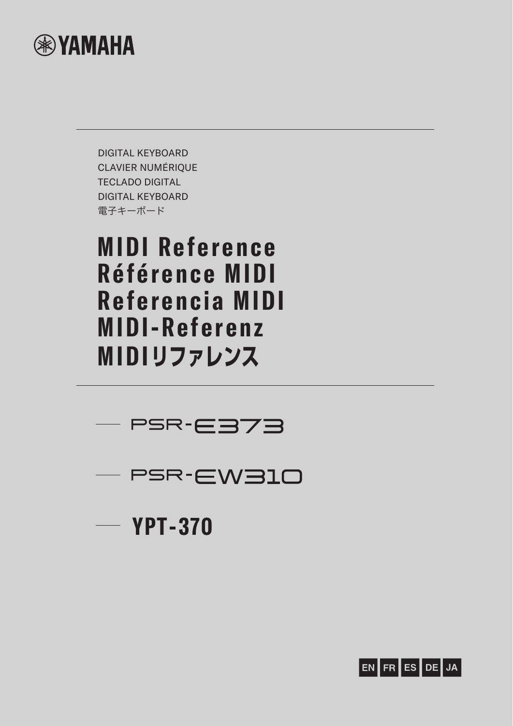

DIGITAL KEYBOARD CLAVIER NUMÉRIQUE TECLADO DIGITAL DIGITAL KEYBOARD 電子キーボード

# **MIDI Reference Référence MIDI Referencia MIDI MIDI-Referenz MIDIリファレンス**





 $-$  YPT-370

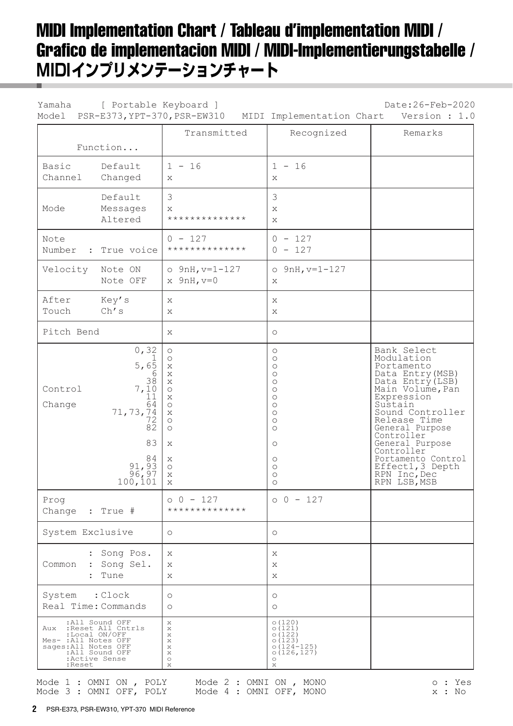### MIDI Implementation Chart / Tableau d'implementation MIDI / Grafico de implementacion MIDI / MIDI-Implementierungstabelle / **MIDIインプリメンテーションチャート**

| Yamaha                                                                          | [ Portable Keyboard ]                                                                                                              | Model PSR-E373, YPT-370, PSR-EW310                                                                                                                                                                                                                                                                                             | MIDI Implementation Chart                                                                                                                                              | Date: 26-Feb-2020<br>Version : 1.0                                                                                                                                                                                                                                                                            |
|---------------------------------------------------------------------------------|------------------------------------------------------------------------------------------------------------------------------------|--------------------------------------------------------------------------------------------------------------------------------------------------------------------------------------------------------------------------------------------------------------------------------------------------------------------------------|------------------------------------------------------------------------------------------------------------------------------------------------------------------------|---------------------------------------------------------------------------------------------------------------------------------------------------------------------------------------------------------------------------------------------------------------------------------------------------------------|
|                                                                                 | Function                                                                                                                           | Transmitted                                                                                                                                                                                                                                                                                                                    | Recognized                                                                                                                                                             | Remarks                                                                                                                                                                                                                                                                                                       |
| Basic<br>Channel                                                                | Default<br>Changed                                                                                                                 | $1 - 16$<br>$\mathbf{x}$                                                                                                                                                                                                                                                                                                       | $1 - 16$<br>$\mathbf{x}$                                                                                                                                               |                                                                                                                                                                                                                                                                                                               |
| Mode                                                                            | Default<br>Messages<br>Altered                                                                                                     | 3<br>Χ<br>**************                                                                                                                                                                                                                                                                                                       | 3<br>X<br>X                                                                                                                                                            |                                                                                                                                                                                                                                                                                                               |
| Note<br>Number<br>$\sim$ 1.000 $\sim$                                           | True voice                                                                                                                         | $0 - 127$<br>**************                                                                                                                                                                                                                                                                                                    | $0 - 127$<br>$0 - 127$                                                                                                                                                 |                                                                                                                                                                                                                                                                                                               |
| Velocity                                                                        | Note ON<br>Note OFF                                                                                                                | $o$ 9nH, $v=1-127$<br>$x$ 9nH, $v=0$                                                                                                                                                                                                                                                                                           | $O$ 9nH, $v=1-127$<br>$\mathbf{x}$                                                                                                                                     |                                                                                                                                                                                                                                                                                                               |
| After<br>Touch                                                                  | Key's<br>Ch's                                                                                                                      | X<br>X                                                                                                                                                                                                                                                                                                                         | $\mathbf{x}$<br>$\mathbf{x}$                                                                                                                                           |                                                                                                                                                                                                                                                                                                               |
| Pitch Bend                                                                      |                                                                                                                                    | X                                                                                                                                                                                                                                                                                                                              | $\circ$                                                                                                                                                                |                                                                                                                                                                                                                                                                                                               |
| Control<br>Change                                                               | 0, 32<br>$5, 6\overline{5}$<br>6<br>7,10<br>11<br>64<br>71,73,74<br>72<br>$8\overline{2}$<br>83<br>84<br>91,93<br>96,97<br>100,101 | $\circlearrowright$<br>$\circlearrowright$<br>$\boldsymbol{\mathsf{X}}$<br>$\boldsymbol{\mathsf{X}}$<br>X<br>$\circ$<br>$\boldsymbol{\mathsf{X}}$<br>$\circ$<br>$\boldsymbol{\mathsf{X}}$<br>$\circ$<br>$\circ$<br>$\boldsymbol{\mathsf{X}}$<br>$\boldsymbol{\mathsf{X}}$<br>$\circlearrowright$<br>$\mathsf X$<br>$\mathbf X$ | $\circ$<br>$\circ$<br>$\circ$<br>$\circ$<br>$\circ$<br>$\circ$<br>$\circ$<br>$\circ$<br>$\circ$<br>$\circ$<br>$\circ$<br>$\circ$<br>$\circ$<br>$\circ$<br>$\circ$<br>O | Bank Select<br>Modulation<br>Portamento<br>Data Entry (MSB)<br>Data $Entry(LSB)$<br>Main Volume, Pan<br>Expression<br>Sustain<br>Sound Controller<br>Release Time<br>General Purpose<br>Controller<br>General Purpose<br>Controller<br>Portamento Control<br>Effect1, 3 Depth<br>RPN Inc, Dec<br>RPN LSB, MSB |
| Prog<br>Change : True #                                                         |                                                                                                                                    | $0 - 127$<br>**************                                                                                                                                                                                                                                                                                                    | $00 - 127$                                                                                                                                                             |                                                                                                                                                                                                                                                                                                               |
| System Exclusive                                                                |                                                                                                                                    | $\circ$                                                                                                                                                                                                                                                                                                                        | $\circ$                                                                                                                                                                |                                                                                                                                                                                                                                                                                                               |
| Common                                                                          | : Song Pos.<br>: Song Sel.<br>: Tune                                                                                               | X<br>X<br>Х                                                                                                                                                                                                                                                                                                                    | X<br>X<br>X                                                                                                                                                            |                                                                                                                                                                                                                                                                                                               |
| System : Clock                                                                  | Real Time: Commands                                                                                                                | $\circ$<br>$\circ$                                                                                                                                                                                                                                                                                                             | $\circ$<br>$\circ$                                                                                                                                                     |                                                                                                                                                                                                                                                                                                               |
| Aux<br>Mes- : All Notes OFF<br>sages: All Notes OFF<br>All Sound OFF:<br>:Reset | :All Sound OFF<br>:Reset All Cntrls<br>:Local ON/OFF<br>:Active Sense                                                              | X<br>X<br>X<br>X<br>X<br>$\mathbf{x}$<br>$\circ$<br>X                                                                                                                                                                                                                                                                          | 0(120)<br>0(121)<br>0(122)<br>0(123)<br>$0(124 - 125)$<br>0(126, 127)<br>$\circ$<br>$\mathbb X$                                                                        |                                                                                                                                                                                                                                                                                                               |
|                                                                                 | Mode 1 : OMNI ON , POLY                                                                                                            | Mode 2 : OMNI ON , MONO                                                                                                                                                                                                                                                                                                        |                                                                                                                                                                        | o : Yes                                                                                                                                                                                                                                                                                                       |

Mode 3 : OMNI OFF, POLY Mode 4 : OMNI OFF, MONO  $x : No$